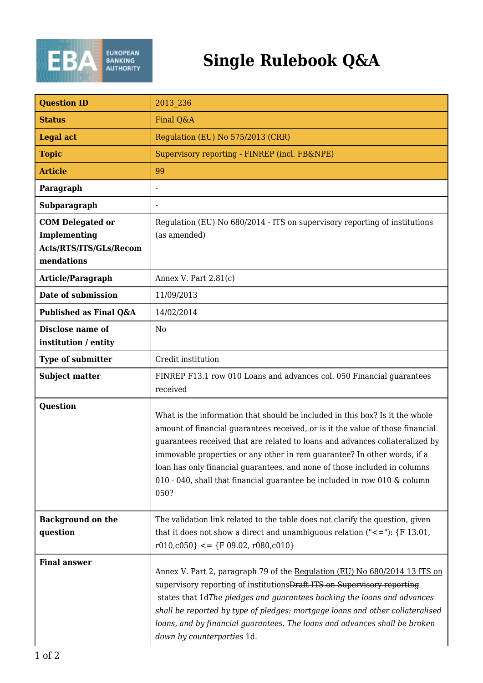

## **Single Rulebook Q&A**

| <b>Question ID</b>                                                              | 2013 236                                                                                                                                                                                                                                                                                                                                                                                                                                                                                     |
|---------------------------------------------------------------------------------|----------------------------------------------------------------------------------------------------------------------------------------------------------------------------------------------------------------------------------------------------------------------------------------------------------------------------------------------------------------------------------------------------------------------------------------------------------------------------------------------|
| <b>Status</b>                                                                   | Final Q&A                                                                                                                                                                                                                                                                                                                                                                                                                                                                                    |
| <b>Legal act</b>                                                                | Regulation (EU) No 575/2013 (CRR)                                                                                                                                                                                                                                                                                                                                                                                                                                                            |
| <b>Topic</b>                                                                    | Supervisory reporting - FINREP (incl. FB&NPE)                                                                                                                                                                                                                                                                                                                                                                                                                                                |
| <b>Article</b>                                                                  | 99                                                                                                                                                                                                                                                                                                                                                                                                                                                                                           |
| Paragraph                                                                       |                                                                                                                                                                                                                                                                                                                                                                                                                                                                                              |
| Subparagraph                                                                    |                                                                                                                                                                                                                                                                                                                                                                                                                                                                                              |
| <b>COM Delegated or</b><br>Implementing<br>Acts/RTS/ITS/GLs/Recom<br>mendations | Regulation (EU) No 680/2014 - ITS on supervisory reporting of institutions<br>(as amended)                                                                                                                                                                                                                                                                                                                                                                                                   |
| Article/Paragraph                                                               | Annex V. Part $2.81(c)$                                                                                                                                                                                                                                                                                                                                                                                                                                                                      |
| Date of submission                                                              | 11/09/2013                                                                                                                                                                                                                                                                                                                                                                                                                                                                                   |
| Published as Final Q&A                                                          | 14/02/2014                                                                                                                                                                                                                                                                                                                                                                                                                                                                                   |
| Disclose name of<br>institution / entity                                        | N <sub>0</sub>                                                                                                                                                                                                                                                                                                                                                                                                                                                                               |
| <b>Type of submitter</b>                                                        | Credit institution                                                                                                                                                                                                                                                                                                                                                                                                                                                                           |
| <b>Subject matter</b>                                                           | FINREP F13.1 row 010 Loans and advances col. 050 Financial guarantees<br>received                                                                                                                                                                                                                                                                                                                                                                                                            |
| Question                                                                        | What is the information that should be included in this box? Is it the whole<br>amount of financial guarantees received, or is it the value of those financial<br>guarantees received that are related to loans and advances collateralized by<br>immovable properties or any other in rem guarantee? In other words, if a<br>loan has only financial guarantees, and none of those included in columns<br>010 - 040, shall that financial guarantee be included in row 010 & column<br>050? |
| <b>Background on the</b><br>question                                            | The validation link related to the table does not clarify the question, given<br>that it does not show a direct and unambiguous relation $("<=")$ : {F 13.01,<br>$r010, c050} \leq {\text{F }09.02, r080, c010}$                                                                                                                                                                                                                                                                             |
| <b>Final answer</b>                                                             | Annex V. Part 2, paragraph 79 of the Regulation (EU) No 680/2014 13 ITS on<br>supervisory reporting of institutions Draft ITS on Supervisory reporting<br>states that 1dThe pledges and guarantees backing the loans and advances<br>shall be reported by type of pledges: mortgage loans and other collateralised<br>loans, and by financial guarantees. The loans and advances shall be broken<br>down by counterparties 1d.                                                               |